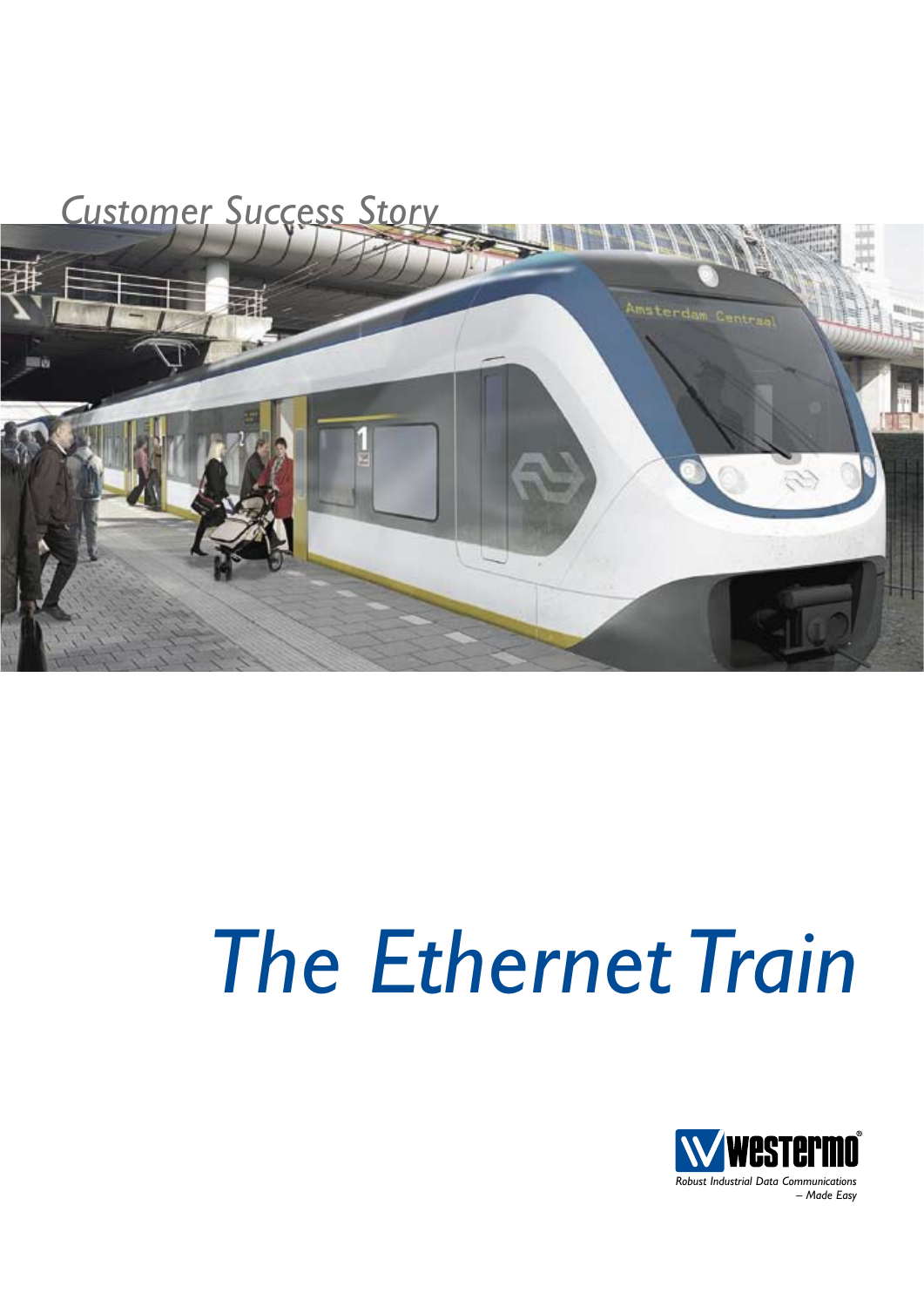

# *The Ethernet Train*

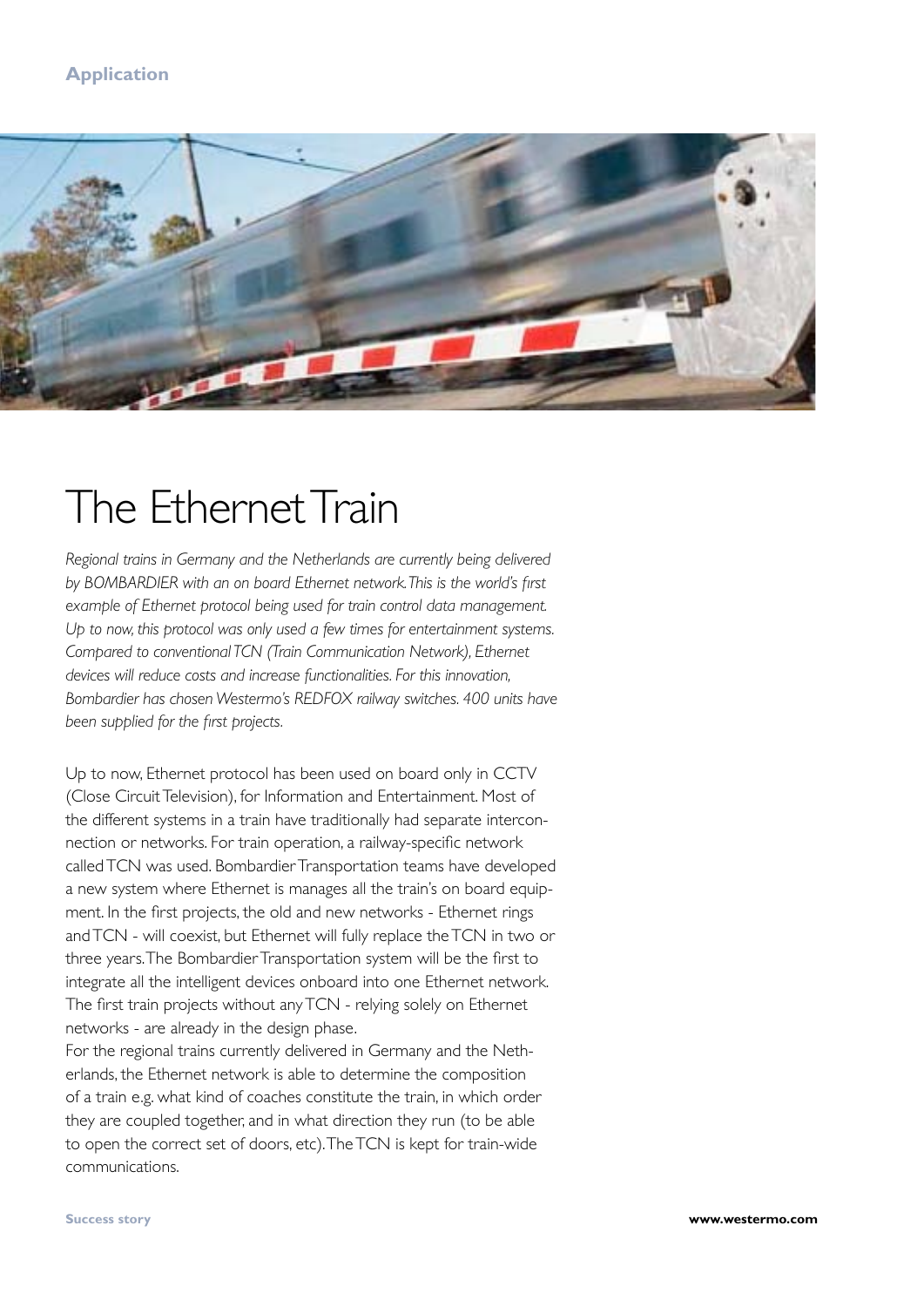### **Application**



# The Ethernet Train

*Regional trains in Germany and the Netherlands are currently being delivered by BOMBARDIER with an on board Ethernet network. This is the world's first example of Ethernet protocol being used for train control data management. Up to now, this protocol was only used a few times for entertainment systems. Compared to conventional TCN (Train Communication Network), Ethernet devices will reduce costs and increase functionalities. For this innovation, Bombardier has chosen Westermo's REDFOX railway switches. 400 units have been supplied for the first projects.*

Up to now, Ethernet protocol has been used on board only in CCTV (Close Circuit Television), for Information and Entertainment. Most of the different systems in a train have traditionally had separate interconnection or networks. For train operation, a railway-specific network called TCN was used. Bombardier Transportation teams have developed a new system where Ethernet is manages all the train's on board equipment. In the first projects, the old and new networks - Ethernet rings and TCN - will coexist, but Ethernet will fully replace the TCN in two or three years. The Bombardier Transportation system will be the first to integrate all the intelligent devices onboard into one Ethernet network. The first train projects without any TCN - relying solely on Ethernet networks - are already in the design phase.

For the regional trains currently delivered in Germany and the Netherlands, the Ethernet network is able to determine the composition of a train e.g. what kind of coaches constitute the train, in which order they are coupled together, and in what direction they run (to be able to open the correct set of doors, etc). The TCN is kept for train-wide communications.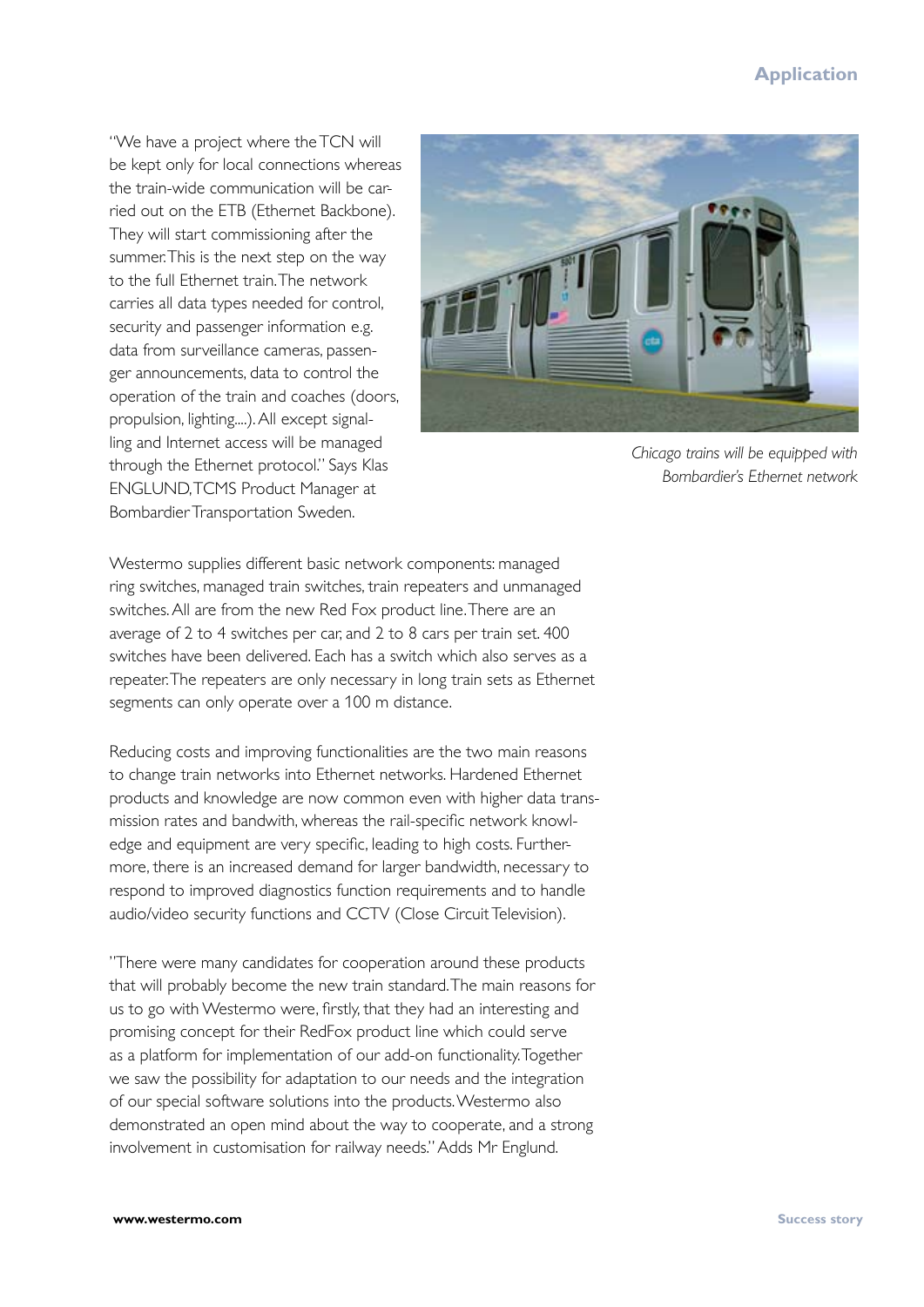#### **Application**

"We have a project where the TCN will be kept only for local connections whereas the train-wide communication will be carried out on the ETB (Ethernet Backbone). They will start commissioning after the summer. This is the next step on the way to the full Ethernet train. The network carries all data types needed for control, security and passenger information e.g. data from surveillance cameras, passenger announcements, data to control the operation of the train and coaches (doors, propulsion, lighting....). All except signalling and Internet access will be managed through the Ethernet protocol." Says Klas ENGLUND, TCMS Product Manager at Bombardier Transportation Sweden.



*Chicago trains will be equipped with Bombardier's Ethernet network*

Westermo supplies different basic network components: managed ring switches, managed train switches, train repeaters and unmanaged switches. All are from the new Red Fox product line. There are an average of 2 to 4 switches per car, and 2 to 8 cars per train set. 400 switches have been delivered. Each has a switch which also serves as a repeater. The repeaters are only necessary in long train sets as Ethernet segments can only operate over a 100 m distance.

Reducing costs and improving functionalities are the two main reasons to change train networks into Ethernet networks. Hardened Ethernet products and knowledge are now common even with higher data transmission rates and bandwith, whereas the rail-specific network knowledge and equipment are very specific, leading to high costs. Furthermore, there is an increased demand for larger bandwidth, necessary to respond to improved diagnostics function requirements and to handle audio/video security functions and CCTV (Close Circuit Television).

"There were many candidates for cooperation around these products that will probably become the new train standard. The main reasons for us to go with Westermo were, firstly, that they had an interesting and promising concept for their RedFox product line which could serve as a platform for implementation of our add-on functionality. Together we saw the possibility for adaptation to our needs and the integration of our special software solutions into the products. Westermo also demonstrated an open mind about the way to cooperate, and a strong involvement in customisation for railway needs." Adds Mr Englund.